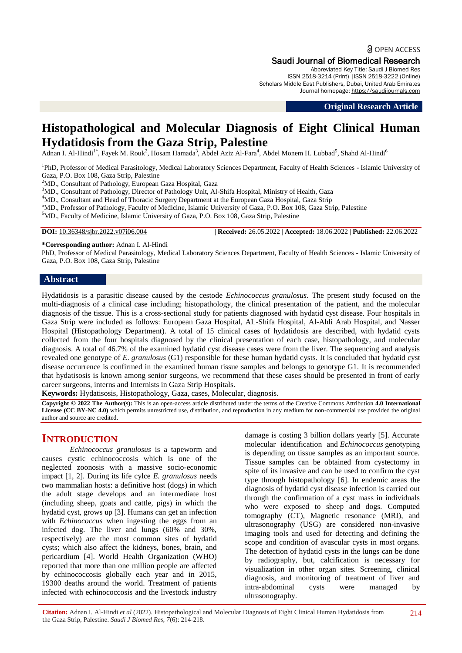**a** OPEN ACCESS

# Saudi Journal of Biomedical Research

Abbreviated Key Title: Saudi J Biomed Res ISSN 2518-3214 (Print) |ISSN 2518-3222 (Online) Scholars Middle East Publishers, Dubai, United Arab Emirates Journal homepage: [https://saudijournals.com](https://saudijournals.com/sjbr)

#### **Original Research Article**

# **Histopathological and Molecular Diagnosis of Eight Clinical Human Hydatidosis from the Gaza Strip, Palestine**

Adnan I. Al-Hindi<sup>1\*</sup>, Fayek M. Rouk<sup>2</sup>, Hosam Hamada<sup>3</sup>, Abdel Aziz Al-Fara<sup>4</sup>, Abdel Monem H. Lubbad<sup>5</sup>, Shahd Al-Hindi<sup>6</sup>

<sup>1</sup>PhD, Professor of Medical Parasitology, Medical Laboratory Sciences Department, Faculty of Health Sciences - Islamic University of Gaza, P.O. Box 108, Gaza Strip, Palestine

<sup>2</sup>MD., Consultant of Pathology, European Gaza Hospital, Gaza

<sup>3</sup>MD., Consultant of Pathology, Director of Pathology Unit, Al-Shifa Hospital, Ministry of Health, Gaza

<sup>4</sup>MD., Consultant and Head of Thoracic Surgery Department at the European Gaza Hospital, Gaza Strip

<sup>5</sup>MD., Professor of Pathology, Faculty of Medicine, Islamic University of Gaza, P.O. Box 108, Gaza Strip, Palestine

<sup>6</sup>MD., Faculty of Medicine, Islamic University of Gaza, P.O. Box 108, Gaza Strip, Palestine

**DOI:** 10.36348/sjbr.2022.v07i06.004 | **Received:** 26.05.2022 | **Accepted:** 18.06.2022 | **Published:** 22.06.2022

**\*Corresponding author:** Adnan I. Al-Hindi

PhD, Professor of Medical Parasitology, Medical Laboratory Sciences Department, Faculty of Health Sciences - Islamic University of Gaza, P.O. Box 108, Gaza Strip, Palestine

## **Abstract**

Hydatidosis is a parasitic disease caused by the cestode *Echinococcus granulosus*. The present study focused on the multi-diagnosis of a clinical case including; histopathology, the clinical presentation of the patient, and the molecular diagnosis of the tissue. This is a cross-sectional study for patients diagnosed with hydatid cyst disease. Four hospitals in Gaza Strip were included as follows: European Gaza Hospital, AL-Shifa Hospital, Al-Ahli Arab Hospital, and Nasser Hospital (Histopathology Department). A total of 15 clinical cases of hydatidosis are described, with hydatid cysts collected from the four hospitals diagnosed by the clinical presentation of each case, histopathology, and molecular diagnosis. A total of 46.7% of the examined hydatid cyst disease cases were from the liver. The sequencing and analysis revealed one genotype of *E*. *granulosus* (G1) responsible for these human hydatid cysts. It is concluded that hydatid cyst disease occurrence is confirmed in the examined human tissue samples and belongs to genotype G1. It is recommended that hydatisosis is known among senior surgeons, we recommend that these cases should be presented in front of early career surgeons, interns and Internists in Gaza Strip Hospitals.

**Keywords:** Hydatisosis, Histopathology, Gaza, cases, Molecular, diagnosis.

**Copyright © 2022 The Author(s):** This is an open-access article distributed under the terms of the Creative Commons Attribution **4.0 International**  License (CC BY-NC 4.0) which permits unrestricted use, distribution, and reproduction in any medium for non-commercial use provided the original author and source are credited.

# **INTRODUCTION**

*Echinococcus granulosus* is a tapeworm and causes cystic echinococcosis which is one of the neglected zoonosis with a massive socio-economic impact [1, 2]. During its life cylce *E. granulosus* needs two mammalian hosts: a definitive host (dogs) in which the adult stage develops and an intermediate host (including sheep, goats and cattle, pigs) in which the hydatid cyst, grows up [3]. Humans can get an infection with *Echinococcus* when ingesting the eggs from an infected dog. The liver and lungs (60% and 30%, respectively) are the most common sites of hydatid cysts; which also affect the kidneys, bones, brain, and pericardium [4]. World Health Organization (WHO) reported that more than one million people are affected by echinococcosis globally each year and in 2015, 19300 deaths around the world. Treatment of patients infected with echinococcosis and the livestock industry

damage is costing 3 billion dollars yearly [5]. Accurate molecular identification and *Echinococcus* genotyping is depending on tissue samples as an important source. Tissue samples can be obtained from cystectomy in spite of its invasive and can be used to confirm the cyst type through histopathology [6]. In endemic areas the diagnosis of hydatid cyst disease infection is carried out through the confirmation of a cyst mass in individuals who were exposed to sheep and dogs. Computed tomography (CT), Magnetic resonance (MRI), and ultrasonography (USG) are considered non-invasive imaging tools and used for detecting and defining the scope and condition of avascular cysts in most organs. The detection of hydatid cysts in the lungs can be done by radiography, but, calcification is necessary for visualization in other organ sites. Screening, clinical diagnosis, and monitoring of treatment of liver and intra-abdominal cysts were managed by ultrasonography.

**Citation:** Adnan I. Al-Hindi *et al* (2022). Histopathological and Molecular Diagnosis of Eight Clinical Human Hydatidosis from the Gaza Strip, Palestine. *Saudi J Biomed Res, 7*(6): 214-218.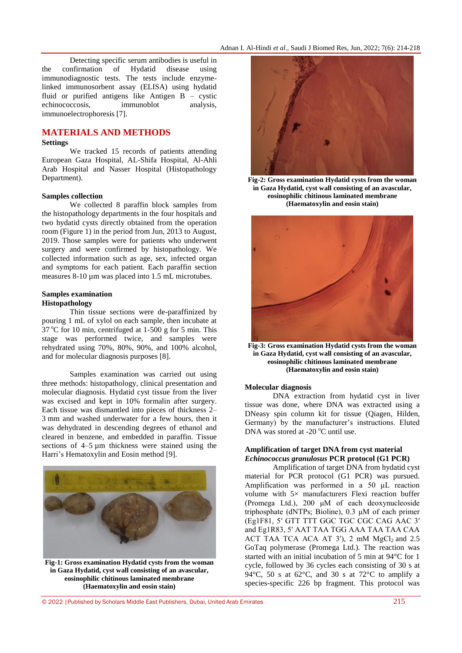Detecting specific serum antibodies is useful in the confirmation of Hydatid disease using immunodiagnostic tests. The tests include enzymelinked immunosorbent assay (ELISA) using hydatid fluid or purified antigens like Antigen B – cystic echinococcosis, immunoblot analysis, immunoelectrophoresis [7].

# **MATERIALS AND METHODS**

## **Settings**

We tracked 15 records of patients attending European Gaza Hospital, AL-Shifa Hospital, Al-Ahli Arab Hospital and Nasser Hospital (Histopathology Department).

## **Samples collection**

We collected 8 paraffin block samples from the histopathology departments in the four hospitals and two hydatid cysts directly obtained from the operation room (Figure 1) in the period from Jun, 2013 to August, 2019. Those samples were for patients who underwent surgery and were confirmed by histopathology. We collected information such as age, sex, infected organ and symptoms for each patient. Each paraffin section measures 8-10 µm was placed into 1.5 mL microtubes.

#### **Samples examination Histopathology**

Thin tissue sections were de-paraffinized by pouring 1 mL of xylol on each sample, then incubate at  $37^{\circ}$ C for 10 min, centrifuged at 1-500 g for 5 min. This stage was performed twice, and samples were rehydrated using 70%, 80%, 90%, and 100% alcohol, and for molecular diagnosis purposes [8].

Samples examination was carried out using three methods: histopathology, clinical presentation and molecular diagnosis. Hydatid cyst tissue from the liver was excised and kept in 10% formalin after surgery. Each tissue was dismantled into pieces of thickness 2– 3 mm and washed underwater for a few hours, then it was dehydrated in descending degrees of ethanol and cleared in benzene, and embedded in paraffin. Tissue sections of 4–5  $\mu$ m thickness were stained using the Harri's Hematoxylin and Eosin method [9].



**Fig-1: Gross examination Hydatid cysts from the woman in Gaza Hydatid, cyst wall consisting of an avascular, eosinophilic chitinous laminated membrane (Haematoxylin and eosin stain)**



**Fig-2: Gross examination Hydatid cysts from the woman in Gaza Hydatid, cyst wall consisting of an avascular, eosinophilic chitinous laminated membrane (Haematoxylin and eosin stain)**



**Fig-3: Gross examination Hydatid cysts from the woman in Gaza Hydatid, cyst wall consisting of an avascular, eosinophilic chitinous laminated membrane (Haematoxylin and eosin stain)**

#### **Molecular diagnosis**

DNA extraction from hydatid cyst in liver tissue was done, where DNA was extracted using a DNeasy spin column kit for tissue (Qiagen, Hilden, Germany) by the manufacturer's instructions. Eluted DNA was stored at  $-20\degree$ C until use.

#### **Amplification of target DNA from cyst material** *Echinococcus granulosus* **PCR protocol (G1 PCR)**

Amplification of target DNA from hydatid cyst material for PCR protocol (G1 PCR) was pursued. Amplification was performed in a 50 μL reaction volume with 5× manufacturers Flexi reaction buffer (Promega Ltd.), 200 μM of each deoxynucleoside triphosphate (dNTPs; Bioline), 0.3 μM of each primer (Eg1F81, 5′ GTT TTT GGC TGC CGC CAG AAC 3′ and Eg1R83, 5′ AAT TAA TGG AAA TAA TAA CAA ACT TAA TCA ACA AT 3'), 2 mM  $MgCl<sub>2</sub>$  and 2.5 GoTaq polymerase (Promega Ltd.). The reaction was started with an initial incubation of 5 min at 94°C for 1 cycle, followed by 36 cycles each consisting of 30 s at 94 $\degree$ C, 50 s at 62 $\degree$ C, and 30 s at 72 $\degree$ C to amplify a species-specific 226 bp fragment. This protocol was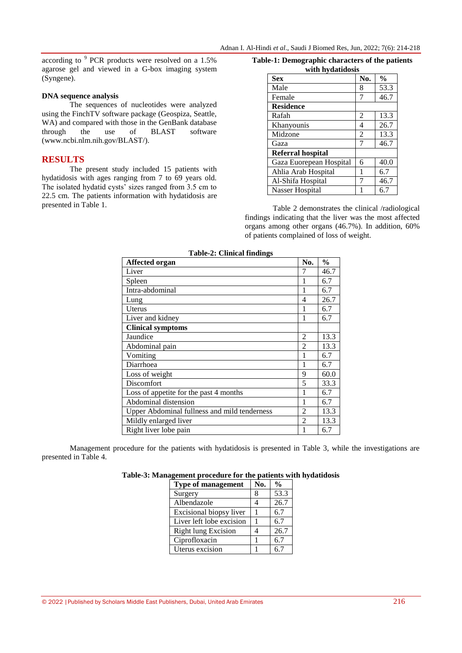according to  $9$  PCR products were resolved on a 1.5% agarose gel and viewed in a G-box imaging system (Syngene).

## **DNA sequence analysis**

The sequences of nucleotides were analyzed using the FinchTV software package (Geospiza, Seattle, WA) and compared with those in the GenBank database<br>through the use of BLAST software use of BLAST [\(www.ncbi.nlm.nih.gov/BLAST/\)](http://www.ncbi.nlm.nih.gov/BLAST/).

## **RESULTS**

The present study included 15 patients with hydatidosis with ages ranging from 7 to 69 years old. The isolated hydatid cysts' sizes ranged from 3.5 cm to 22.5 cm. The patients information with hydatidosis are presented in Table 1.

**Table-1: Demographic characters of the patients with hydatidosis**

| with hyuathuo515        |                |               |  |
|-------------------------|----------------|---------------|--|
| <b>Sex</b>              | No.            | $\frac{0}{0}$ |  |
| Male                    | 8              | 53.3          |  |
| Female                  | 7              | 46.7          |  |
| <b>Residence</b>        |                |               |  |
| Rafah                   | $\overline{c}$ | 13.3          |  |
| Khanyounis              | 4              | 26.7          |  |
| Midzone                 | $\overline{c}$ | 13.3          |  |
| Gaza                    | 7              | 46.7          |  |
| Referral hospital       |                |               |  |
| Gaza Euorepean Hospital | 6              | 40.0          |  |
| Ahlia Arab Hospital     | 1              | 6.7           |  |
| Al-Shifa Hospital       | 7              | 46.7          |  |
| Nasser Hospital         |                | 6.7           |  |

Table 2 demonstrates the clinical /radiological findings indicating that the liver was the most affected organs among other organs (46.7%). In addition, 60% of patients complained of loss of weight.

| <b>Affected organ</b>                        | No.            | $\frac{0}{0}$ |
|----------------------------------------------|----------------|---------------|
| Liver                                        | 7              | 46.7          |
| Spleen                                       |                | 6.7           |
| Intra-abdominal                              |                | 6.7           |
| Lung                                         | 4              | 26.7          |
| Uterus                                       | 1              | 6.7           |
| Liver and kidney                             |                | 6.7           |
| <b>Clinical symptoms</b>                     |                |               |
| Jaundice                                     | $\mathfrak{D}$ | 13.3          |
| Abdominal pain                               | $\mathfrak{D}$ | 13.3          |
| Vomiting                                     |                | 6.7           |
| Diarrhoea                                    | 1              | 6.7           |
| Loss of weight                               | 9              | 60.0          |
| Discomfort                                   | 5              | 33.3          |
| Loss of appetite for the past 4 months       | 1              | 6.7           |
| Abdominal distension                         |                | 6.7           |
| Upper Abdominal fullness and mild tenderness | $\overline{2}$ | 13.3          |
| Mildly enlarged liver                        | $\mathfrak{D}$ | 13.3          |
| Right liver lobe pain                        |                | 6.7           |

Management procedure for the patients with hydatidosis is presented in Table 3, while the investigations are presented in Table 4.

| Table-3: Management procedure for the patients with hydatidosis |  |  |
|-----------------------------------------------------------------|--|--|
|                                                                 |  |  |

| <b>Type of management</b>  | No. | $\frac{0}{0}$ |
|----------------------------|-----|---------------|
| Surgery                    | 8   | 53.3          |
| Albendazole                |     | 26.7          |
| Excisional biopsy liver    |     | 6.7           |
| Liver left lobe excision   |     | 6.7           |
| <b>Right lung Excision</b> |     | 26.7          |
| Ciprofloxacin              |     | 6.7           |
| Uterus excision            |     | 6.7           |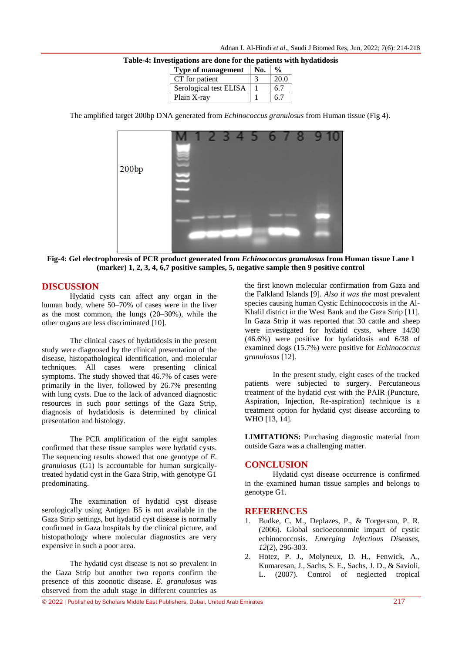| <b>Type of management</b> | No. | $\frac{0}{0}$ |
|---------------------------|-----|---------------|
| CT for patient            |     | 20.0          |
| Serological test ELISA    |     | 6.7           |
| Plain X-ray               |     | 67            |

#### **Table-4: Investigations are done for the patients with hydatidosis**

The amplified target 200bp DNA generated from *Echinococcus granulosus* from Human tissue (Fig 4).



**Fig-4: Gel electrophoresis of PCR product generated from** *Echinococcus granulosus* **from Human tissue Lane 1 (marker) 1, 2, 3, 4, 6,7 positive samples, 5, negative sample then 9 positive control**

# **DISCUSSION**

Hydatid cysts can affect any organ in the human body, where 50–70% of cases were in the liver as the most common, the lungs (20–30%), while the other organs are less discriminated [10].

The clinical cases of hydatidosis in the present study were diagnosed by the clinical presentation of the disease, histopathological identification, and molecular techniques. All cases were presenting clinical symptoms. The study showed that 46.7% of cases were primarily in the liver, followed by 26.7% presenting with lung cysts. Due to the lack of advanced diagnostic resources in such poor settings of the Gaza Strip, diagnosis of hydatidosis is determined by clinical presentation and histology.

The PCR amplification of the eight samples confirmed that these tissue samples were hydatid cysts. The sequencing results showed that one genotype of *E*. *granulosus* (G1) is accountable for human surgicallytreated hydatid cyst in the Gaza Strip, with genotype G1 predominating.

The examination of hydatid cyst disease serologically using Antigen B5 is not available in the Gaza Strip settings, but hydatid cyst disease is normally confirmed in Gaza hospitals by the clinical picture, and histopathology where molecular diagnostics are very expensive in such a poor area.

The hydatid cyst disease is not so prevalent in the Gaza Strip but another two reports confirm the presence of this zoonotic disease. *E. granulosus* was observed from the adult stage in different countries as

the first known molecular confirmation from Gaza and the Falkland Islands [9]. *Also it was the* most prevalent species causing human Cystic Echinococcosis in the Al-Khalil district in the West Bank and the Gaza Strip [11]. In Gaza Strip it was reported that 30 cattle and sheep were investigated for hydatid cysts, where 14/30 (46.6%) were positive for hydatidosis and 6/38 of examined dogs (15.7%) were positive for *Echinococcus granulosus* [12].

In the present study, eight cases of the tracked patients were subjected to surgery. Percutaneous treatment of the hydatid cyst with the PAIR (Puncture, Aspiration, Injection, Re-aspiration) technique is a treatment option for hydatid cyst disease according to WHO [13, 14].

**LIMITATIONS:** Purchasing diagnostic material from outside Gaza was a challenging matter.

# **CONCLUSION**

Hydatid cyst disease occurrence is confirmed in the examined human tissue samples and belongs to genotype G1.

#### **REFERENCES**

- 1. Budke, C. M., Deplazes, P., & Torgerson, P. R. (2006). Global socioeconomic impact of cystic echinococcosis. *Emerging Infectious Diseases, 12*(2), 296-303.
- 2. Hotez, P. J., Molyneux, D. H., Fenwick, A., Kumaresan, J., Sachs, S. E., Sachs, J. D., & Savioli, L. (2007). Control of neglected tropical